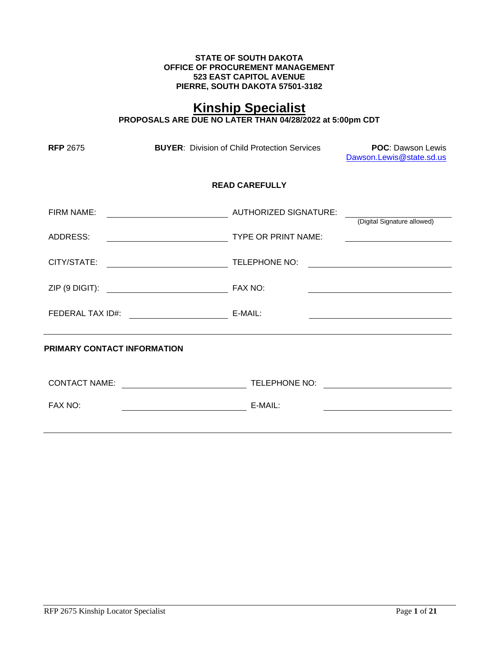#### **STATE OF SOUTH DAKOTA OFFICE OF PROCUREMENT MANAGEMENT 523 EAST CAPITOL AVENUE PIERRE, SOUTH DAKOTA 57501-3182**

# **Kinship Specialist**

**PROPOSALS ARE DUE NO LATER THAN 04/28/2022 at 5:00pm CDT**

| <b>RFP 2675</b> | <b>BUYER:</b> Division of Child Protection Services |                       | <b>POC: Dawson Lewis</b><br>Dawson.Lewis@state.sd.us |
|-----------------|-----------------------------------------------------|-----------------------|------------------------------------------------------|
|                 |                                                     | <b>READ CAREFULLY</b> |                                                      |
| FIRM NAME:      | AUTHORIZED SIGNATURE:                               |                       | (Digital Signature allowed)                          |
| ADDRESS:        |                                                     | TYPE OR PRINT NAME:   |                                                      |
|                 |                                                     |                       |                                                      |
|                 |                                                     |                       |                                                      |
|                 | FEDERAL TAX ID#: E-MAIL:                            |                       |                                                      |
|                 | PRIMARY CONTACT INFORMATION                         |                       |                                                      |
|                 |                                                     | TELEPHONE NO:         | <u> 1980 - Andrea Station Barbara, amerikan per</u>  |
| FAX NO:         |                                                     | E-MAIL:               |                                                      |
|                 |                                                     |                       |                                                      |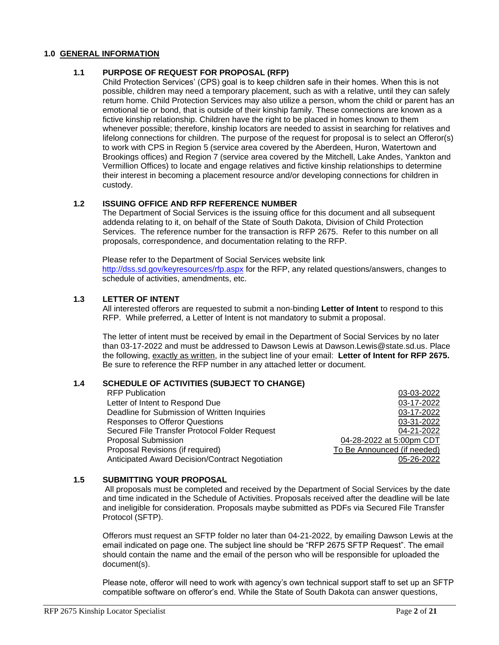### **1.0 GENERAL INFORMATION**

## **1.1 PURPOSE OF REQUEST FOR PROPOSAL (RFP)**

Child Protection Services' (CPS) goal is to keep children safe in their homes. When this is not possible, children may need a temporary placement, such as with a relative, until they can safely return home. Child Protection Services may also utilize a person, whom the child or parent has an emotional tie or bond, that is outside of their kinship family. These connections are known as a fictive kinship relationship. Children have the right to be placed in homes known to them whenever possible; therefore, kinship locators are needed to assist in searching for relatives and lifelong connections for children. The purpose of the request for proposal is to select an Offeror(s) to work with CPS in Region 5 (service area covered by the Aberdeen, Huron, Watertown and Brookings offices) and Region 7 (service area covered by the Mitchell, Lake Andes, Yankton and Vermillion Offices) to locate and engage relatives and fictive kinship relationships to determine their interest in becoming a placement resource and/or developing connections for children in custody.

## **1.2 ISSUING OFFICE AND RFP REFERENCE NUMBER**

The Department of Social Services is the issuing office for this document and all subsequent addenda relating to it, on behalf of the State of South Dakota, Division of Child Protection Services. The reference number for the transaction is RFP 2675. Refer to this number on all proposals, correspondence, and documentation relating to the RFP.

Please refer to the Department of Social Services website link <http://dss.sd.gov/keyresources/rfp.aspx> for the RFP, any related questions/answers, changes to schedule of activities, amendments, etc.

## **1.3 LETTER OF INTENT**

All interested offerors are requested to submit a non-binding **Letter of Intent** to respond to this RFP. While preferred, a Letter of Intent is not mandatory to submit a proposal.

The letter of intent must be received by email in the Department of Social Services by no later than 03-17-2022 and must be addressed to Dawson Lewis at Dawson.Lewis@state.sd.us. Place the following, exactly as written, in the subject line of your email: **Letter of Intent for RFP 2675.** Be sure to reference the RFP number in any attached letter or document.

## **1.4 SCHEDULE OF ACTIVITIES (SUBJECT TO CHANGE)**

| <b>RFP Publication</b>                          | 03-03-2022                  |
|-------------------------------------------------|-----------------------------|
| Letter of Intent to Respond Due                 | 03-17-2022                  |
| Deadline for Submission of Written Inquiries    | 03-17-2022                  |
| <b>Responses to Offeror Questions</b>           | 03-31-2022                  |
| Secured File Transfer Protocol Folder Request   | 04-21-2022                  |
| Proposal Submission                             | 04-28-2022 at 5:00pm CDT    |
| Proposal Revisions (if required)                | To Be Announced (if needed) |
| Anticipated Award Decision/Contract Negotiation | 05-26-2022                  |

## **1.5 SUBMITTING YOUR PROPOSAL**

All proposals must be completed and received by the Department of Social Services by the date and time indicated in the Schedule of Activities. Proposals received after the deadline will be late and ineligible for consideration. Proposals maybe submitted as PDFs via Secured File Transfer Protocol (SFTP).

Offerors must request an SFTP folder no later than 04-21-2022, by emailing Dawson Lewis at the email indicated on page one. The subject line should be "RFP 2675 SFTP Request". The email should contain the name and the email of the person who will be responsible for uploaded the document(s).

Please note, offeror will need to work with agency's own technical support staff to set up an SFTP compatible software on offeror's end. While the State of South Dakota can answer questions,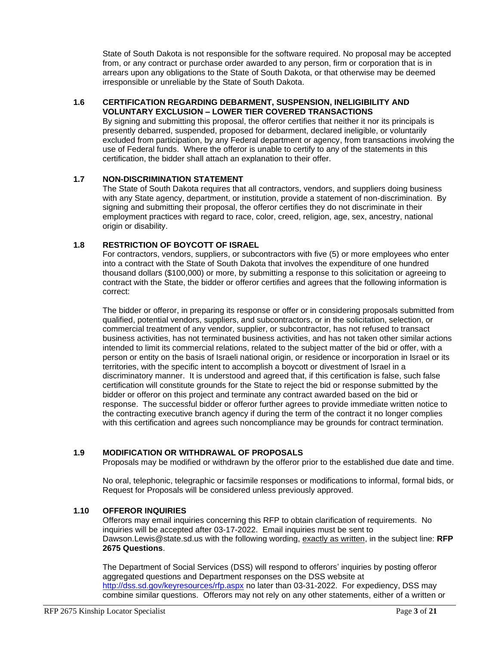State of South Dakota is not responsible for the software required. No proposal may be accepted from, or any contract or purchase order awarded to any person, firm or corporation that is in arrears upon any obligations to the State of South Dakota, or that otherwise may be deemed irresponsible or unreliable by the State of South Dakota.

#### **1.6 CERTIFICATION REGARDING DEBARMENT, SUSPENSION, INELIGIBILITY AND VOLUNTARY EXCLUSION – LOWER TIER COVERED TRANSACTIONS**

By signing and submitting this proposal, the offeror certifies that neither it nor its principals is presently debarred, suspended, proposed for debarment, declared ineligible, or voluntarily excluded from participation, by any Federal department or agency, from transactions involving the use of Federal funds. Where the offeror is unable to certify to any of the statements in this certification, the bidder shall attach an explanation to their offer.

## **1.7 NON-DISCRIMINATION STATEMENT**

The State of South Dakota requires that all contractors, vendors, and suppliers doing business with any State agency, department, or institution, provide a statement of non-discrimination. By signing and submitting their proposal, the offeror certifies they do not discriminate in their employment practices with regard to race, color, creed, religion, age, sex, ancestry, national origin or disability.

## **1.8 RESTRICTION OF BOYCOTT OF ISRAEL**

For contractors, vendors, suppliers, or subcontractors with five (5) or more employees who enter into a contract with the State of South Dakota that involves the expenditure of one hundred thousand dollars (\$100,000) or more, by submitting a response to this solicitation or agreeing to contract with the State, the bidder or offeror certifies and agrees that the following information is correct:

The bidder or offeror, in preparing its response or offer or in considering proposals submitted from qualified, potential vendors, suppliers, and subcontractors, or in the solicitation, selection, or commercial treatment of any vendor, supplier, or subcontractor, has not refused to transact business activities, has not terminated business activities, and has not taken other similar actions intended to limit its commercial relations, related to the subject matter of the bid or offer, with a person or entity on the basis of Israeli national origin, or residence or incorporation in Israel or its territories, with the specific intent to accomplish a boycott or divestment of Israel in a discriminatory manner. It is understood and agreed that, if this certification is false, such false certification will constitute grounds for the State to reject the bid or response submitted by the bidder or offeror on this project and terminate any contract awarded based on the bid or response. The successful bidder or offeror further agrees to provide immediate written notice to the contracting executive branch agency if during the term of the contract it no longer complies with this certification and agrees such noncompliance may be grounds for contract termination.

## **1.9 MODIFICATION OR WITHDRAWAL OF PROPOSALS**

Proposals may be modified or withdrawn by the offeror prior to the established due date and time.

No oral, telephonic, telegraphic or facsimile responses or modifications to informal, formal bids, or Request for Proposals will be considered unless previously approved.

## **1.10 OFFEROR INQUIRIES**

Offerors may email inquiries concerning this RFP to obtain clarification of requirements. No inquiries will be accepted after 03-17-2022. Email inquiries must be sent to Dawson.Lewis@state.sd.us with the following wording, exactly as written, in the subject line: **RFP 2675 Questions**.

The Department of Social Services (DSS) will respond to offerors' inquiries by posting offeror aggregated questions and Department responses on the DSS website at <http://dss.sd.gov/keyresources/rfp.aspx> no later than 03-31-2022. For expediency, DSS may combine similar questions. Offerors may not rely on any other statements, either of a written or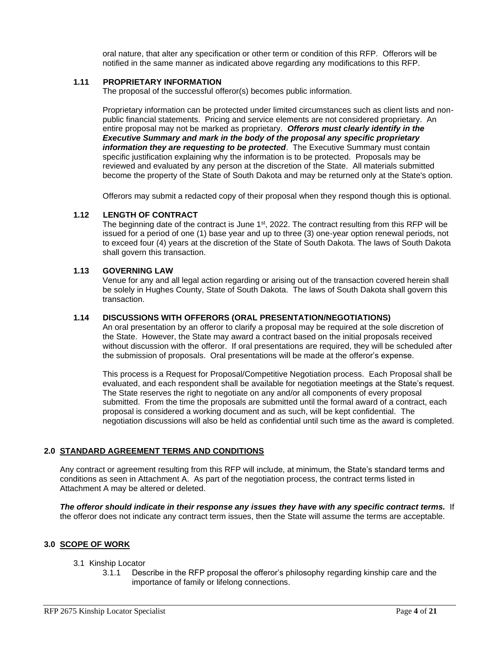oral nature, that alter any specification or other term or condition of this RFP. Offerors will be notified in the same manner as indicated above regarding any modifications to this RFP.

#### **1.11 PROPRIETARY INFORMATION**

The proposal of the successful offeror(s) becomes public information.

Proprietary information can be protected under limited circumstances such as client lists and nonpublic financial statements. Pricing and service elements are not considered proprietary. An entire proposal may not be marked as proprietary. *Offerors must clearly identify in the Executive Summary and mark in the body of the proposal any specific proprietary information they are requesting to be protected*. The Executive Summary must contain specific justification explaining why the information is to be protected. Proposals may be reviewed and evaluated by any person at the discretion of the State. All materials submitted become the property of the State of South Dakota and may be returned only at the State's option.

Offerors may submit a redacted copy of their proposal when they respond though this is optional.

## **1.12 LENGTH OF CONTRACT**

The beginning date of the contract is June  $1<sup>st</sup>$ , 2022. The contract resulting from this RFP will be issued for a period of one (1) base year and up to three (3) one-year option renewal periods, not to exceed four (4) years at the discretion of the State of South Dakota. The laws of South Dakota shall govern this transaction.

#### **1.13 GOVERNING LAW**

Venue for any and all legal action regarding or arising out of the transaction covered herein shall be solely in Hughes County, State of South Dakota. The laws of South Dakota shall govern this transaction.

### **1.14 DISCUSSIONS WITH OFFERORS (ORAL PRESENTATION/NEGOTIATIONS)**

An oral presentation by an offeror to clarify a proposal may be required at the sole discretion of the State. However, the State may award a contract based on the initial proposals received without discussion with the offeror. If oral presentations are required, they will be scheduled after the submission of proposals. Oral presentations will be made at the offeror's expense.

This process is a Request for Proposal/Competitive Negotiation process. Each Proposal shall be evaluated, and each respondent shall be available for negotiation meetings at the State's request. The State reserves the right to negotiate on any and/or all components of every proposal submitted. From the time the proposals are submitted until the formal award of a contract, each proposal is considered a working document and as such, will be kept confidential. The negotiation discussions will also be held as confidential until such time as the award is completed.

#### **2.0 STANDARD AGREEMENT TERMS AND CONDITIONS**

Any contract or agreement resulting from this RFP will include, at minimum, the State's standard terms and conditions as seen in Attachment A. As part of the negotiation process, the contract terms listed in Attachment A may be altered or deleted.

*The offeror should indicate in their response any issues they have with any specific contract terms.* If the offeror does not indicate any contract term issues, then the State will assume the terms are acceptable.

#### **3.0 SCOPE OF WORK**

- 3.1 Kinship Locator
	- 3.1.1 Describe in the RFP proposal the offeror's philosophy regarding kinship care and the importance of family or lifelong connections.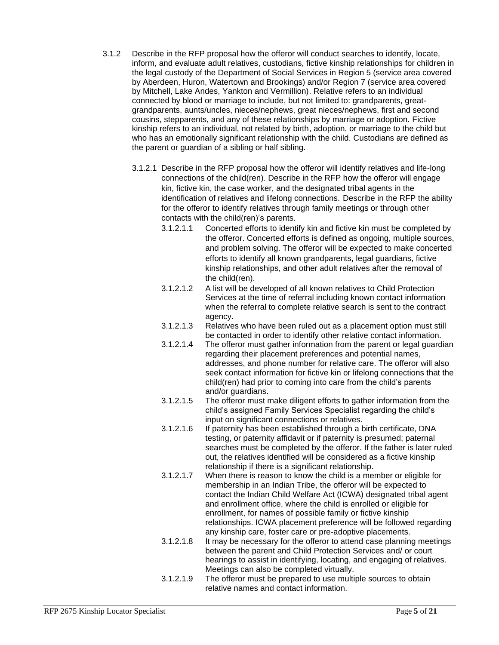- 3.1.2 Describe in the RFP proposal how the offeror will conduct searches to identify, locate, inform, and evaluate adult relatives, custodians, fictive kinship relationships for children in the legal custody of the Department of Social Services in Region 5 (service area covered by Aberdeen, Huron, Watertown and Brookings) and/or Region 7 (service area covered by Mitchell, Lake Andes, Yankton and Vermillion). Relative refers to an individual connected by blood or marriage to include, but not limited to: grandparents, greatgrandparents, aunts/uncles, nieces/nephews, great nieces/nephews, first and second cousins, stepparents, and any of these relationships by marriage or adoption. Fictive kinship refers to an individual, not related by birth, adoption, or marriage to the child but who has an emotionally significant relationship with the child. Custodians are defined as the parent or guardian of a sibling or half sibling.
	- 3.1.2.1 Describe in the RFP proposal how the offeror will identify relatives and life-long connections of the child(ren). Describe in the RFP how the offeror will engage kin, fictive kin, the case worker, and the designated tribal agents in the identification of relatives and lifelong connections. Describe in the RFP the ability for the offeror to identify relatives through family meetings or through other contacts with the child(ren)'s parents.
		- 3.1.2.1.1 Concerted efforts to identify kin and fictive kin must be completed by the offeror. Concerted efforts is defined as ongoing, multiple sources, and problem solving. The offeror will be expected to make concerted efforts to identify all known grandparents, legal guardians, fictive kinship relationships, and other adult relatives after the removal of the child(ren).
		- 3.1.2.1.2 A list will be developed of all known relatives to Child Protection Services at the time of referral including known contact information when the referral to complete relative search is sent to the contract agency.
		- 3.1.2.1.3 Relatives who have been ruled out as a placement option must still be contacted in order to identify other relative contact information.
		- 3.1.2.1.4 The offeror must gather information from the parent or legal guardian regarding their placement preferences and potential names, addresses, and phone number for relative care. The offeror will also seek contact information for fictive kin or lifelong connections that the child(ren) had prior to coming into care from the child's parents and/or guardians.
		- 3.1.2.1.5 The offeror must make diligent efforts to gather information from the child's assigned Family Services Specialist regarding the child's input on significant connections or relatives.
		- 3.1.2.1.6 If paternity has been established through a birth certificate, DNA testing, or paternity affidavit or if paternity is presumed; paternal searches must be completed by the offeror. If the father is later ruled out, the relatives identified will be considered as a fictive kinship relationship if there is a significant relationship.
		- 3.1.2.1.7 When there is reason to know the child is a member or eligible for membership in an Indian Tribe, the offeror will be expected to contact the Indian Child Welfare Act (ICWA) designated tribal agent and enrollment office, where the child is enrolled or eligible for enrollment, for names of possible family or fictive kinship relationships. ICWA placement preference will be followed regarding any kinship care, foster care or pre-adoptive placements.
		- 3.1.2.1.8 It may be necessary for the offeror to attend case planning meetings between the parent and Child Protection Services and/ or court hearings to assist in identifying, locating, and engaging of relatives. Meetings can also be completed virtually.
		- 3.1.2.1.9 The offeror must be prepared to use multiple sources to obtain relative names and contact information.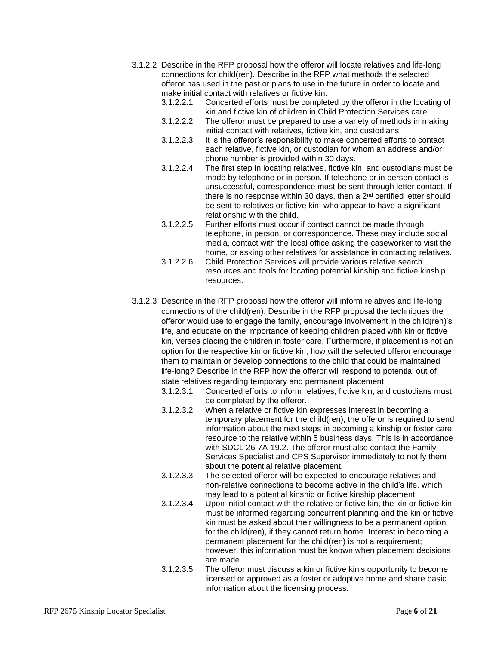- 3.1.2.2 Describe in the RFP proposal how the offeror will locate relatives and life-long connections for child(ren). Describe in the RFP what methods the selected offeror has used in the past or plans to use in the future in order to locate and make initial contact with relatives or fictive kin.
	- 3.1.2.2.1 Concerted efforts must be completed by the offeror in the locating of kin and fictive kin of children in Child Protection Services care.
	- 3.1.2.2.2 The offeror must be prepared to use a variety of methods in making initial contact with relatives, fictive kin, and custodians.
	- 3.1.2.2.3 It is the offeror's responsibility to make concerted efforts to contact each relative, fictive kin, or custodian for whom an address and/or phone number is provided within 30 days.
	- 3.1.2.2.4 The first step in locating relatives, fictive kin, and custodians must be made by telephone or in person. If telephone or in person contact is unsuccessful, correspondence must be sent through letter contact. If there is no response within 30 days, then a  $2<sup>nd</sup>$  certified letter should be sent to relatives or fictive kin, who appear to have a significant relationship with the child.
	- 3.1.2.2.5 Further efforts must occur if contact cannot be made through telephone, in person, or correspondence. These may include social media, contact with the local office asking the caseworker to visit the home, or asking other relatives for assistance in contacting relatives.
	- 3.1.2.2.6 Child Protection Services will provide various relative search resources and tools for locating potential kinship and fictive kinship resources.
- 3.1.2.3 Describe in the RFP proposal how the offeror will inform relatives and life-long connections of the child(ren). Describe in the RFP proposal the techniques the offeror would use to engage the family, encourage involvement in the child(ren)'s life, and educate on the importance of keeping children placed with kin or fictive kin, verses placing the children in foster care. Furthermore, if placement is not an option for the respective kin or fictive kin, how will the selected offeror encourage them to maintain or develop connections to the child that could be maintained life-long? Describe in the RFP how the offeror will respond to potential out of state relatives regarding temporary and permanent placement.
	- 3.1.2.3.1 Concerted efforts to inform relatives, fictive kin, and custodians must be completed by the offeror.
	- 3.1.2.3.2 When a relative or fictive kin expresses interest in becoming a temporary placement for the child(ren), the offeror is required to send information about the next steps in becoming a kinship or foster care resource to the relative within 5 business days. This is in accordance with SDCL 26-7A-19.2. The offeror must also contact the Family Services Specialist and CPS Supervisor immediately to notify them about the potential relative placement.
	- 3.1.2.3.3 The selected offeror will be expected to encourage relatives and non-relative connections to become active in the child's life, which may lead to a potential kinship or fictive kinship placement.
	- 3.1.2.3.4 Upon initial contact with the relative or fictive kin, the kin or fictive kin must be informed regarding concurrent planning and the kin or fictive kin must be asked about their willingness to be a permanent option for the child(ren), if they cannot return home. Interest in becoming a permanent placement for the child(ren) is not a requirement; however, this information must be known when placement decisions are made.
	- 3.1.2.3.5 The offeror must discuss a kin or fictive kin's opportunity to become licensed or approved as a foster or adoptive home and share basic information about the licensing process.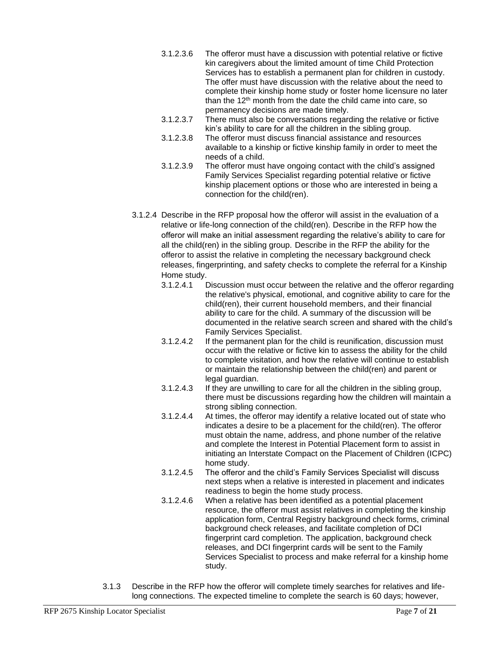- 3.1.2.3.6 The offeror must have a discussion with potential relative or fictive kin caregivers about the limited amount of time Child Protection Services has to establish a permanent plan for children in custody. The offer must have discussion with the relative about the need to complete their kinship home study or foster home licensure no later than the 12<sup>th</sup> month from the date the child came into care, so permanency decisions are made timely.
- 3.1.2.3.7 There must also be conversations regarding the relative or fictive kin's ability to care for all the children in the sibling group.
- 3.1.2.3.8 The offeror must discuss financial assistance and resources available to a kinship or fictive kinship family in order to meet the needs of a child.
- 3.1.2.3.9 The offeror must have ongoing contact with the child's assigned Family Services Specialist regarding potential relative or fictive kinship placement options or those who are interested in being a connection for the child(ren).
- 3.1.2.4 Describe in the RFP proposal how the offeror will assist in the evaluation of a relative or life-long connection of the child(ren). Describe in the RFP how the offeror will make an initial assessment regarding the relative's ability to care for all the child(ren) in the sibling group. Describe in the RFP the ability for the offeror to assist the relative in completing the necessary background check releases, fingerprinting, and safety checks to complete the referral for a Kinship Home study.
	- 3.1.2.4.1 Discussion must occur between the relative and the offeror regarding the relative's physical, emotional, and cognitive ability to care for the child(ren), their current household members, and their financial ability to care for the child. A summary of the discussion will be documented in the relative search screen and shared with the child's Family Services Specialist.
	- 3.1.2.4.2 If the permanent plan for the child is reunification, discussion must occur with the relative or fictive kin to assess the ability for the child to complete visitation, and how the relative will continue to establish or maintain the relationship between the child(ren) and parent or legal guardian.
	- 3.1.2.4.3 If they are unwilling to care for all the children in the sibling group, there must be discussions regarding how the children will maintain a strong sibling connection.
	- 3.1.2.4.4 At times, the offeror may identify a relative located out of state who indicates a desire to be a placement for the child(ren). The offeror must obtain the name, address, and phone number of the relative and complete the Interest in Potential Placement form to assist in initiating an Interstate Compact on the Placement of Children (ICPC) home study.
	- 3.1.2.4.5 The offeror and the child's Family Services Specialist will discuss next steps when a relative is interested in placement and indicates readiness to begin the home study process.
	- 3.1.2.4.6 When a relative has been identified as a potential placement resource, the offeror must assist relatives in completing the kinship application form, Central Registry background check forms, criminal background check releases, and facilitate completion of DCI fingerprint card completion. The application, background check releases, and DCI fingerprint cards will be sent to the Family Services Specialist to process and make referral for a kinship home study.
- 3.1.3 Describe in the RFP how the offeror will complete timely searches for relatives and lifelong connections. The expected timeline to complete the search is 60 days; however,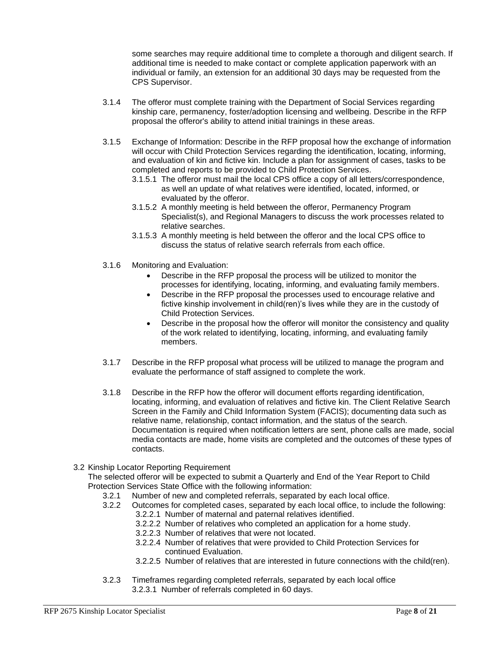some searches may require additional time to complete a thorough and diligent search. If additional time is needed to make contact or complete application paperwork with an individual or family, an extension for an additional 30 days may be requested from the CPS Supervisor.

- 3.1.4 The offeror must complete training with the Department of Social Services regarding kinship care, permanency, foster/adoption licensing and wellbeing. Describe in the RFP proposal the offeror's ability to attend initial trainings in these areas.
- 3.1.5 Exchange of Information: Describe in the RFP proposal how the exchange of information will occur with Child Protection Services regarding the identification, locating, informing, and evaluation of kin and fictive kin. Include a plan for assignment of cases, tasks to be completed and reports to be provided to Child Protection Services.
	- 3.1.5.1 The offeror must mail the local CPS office a copy of all letters/correspondence, as well an update of what relatives were identified, located, informed, or evaluated by the offeror.
	- 3.1.5.2 A monthly meeting is held between the offeror, Permanency Program Specialist(s), and Regional Managers to discuss the work processes related to relative searches.
	- 3.1.5.3 A monthly meeting is held between the offeror and the local CPS office to discuss the status of relative search referrals from each office.
- 3.1.6 Monitoring and Evaluation:
	- Describe in the RFP proposal the process will be utilized to monitor the processes for identifying, locating, informing, and evaluating family members.
	- Describe in the RFP proposal the processes used to encourage relative and fictive kinship involvement in child(ren)'s lives while they are in the custody of Child Protection Services.
	- Describe in the proposal how the offeror will monitor the consistency and quality of the work related to identifying, locating, informing, and evaluating family members.
- 3.1.7 Describe in the RFP proposal what process will be utilized to manage the program and evaluate the performance of staff assigned to complete the work.
- 3.1.8 Describe in the RFP how the offeror will document efforts regarding identification, locating, informing, and evaluation of relatives and fictive kin. The Client Relative Search Screen in the Family and Child Information System (FACIS); documenting data such as relative name, relationship, contact information, and the status of the search. Documentation is required when notification letters are sent, phone calls are made, social media contacts are made, home visits are completed and the outcomes of these types of contacts.
- 3.2 Kinship Locator Reporting Requirement

The selected offeror will be expected to submit a Quarterly and End of the Year Report to Child Protection Services State Office with the following information:

- 3.2.1 Number of new and completed referrals, separated by each local office.
- 3.2.2 Outcomes for completed cases, separated by each local office, to include the following:
	- 3.2.2.1 Number of maternal and paternal relatives identified.
	- 3.2.2.2 Number of relatives who completed an application for a home study.
	- 3.2.2.3 Number of relatives that were not located.
	- 3.2.2.4 Number of relatives that were provided to Child Protection Services for continued Evaluation.
	- 3.2.2.5 Number of relatives that are interested in future connections with the child(ren).
- 3.2.3 Timeframes regarding completed referrals, separated by each local office 3.2.3.1 Number of referrals completed in 60 days.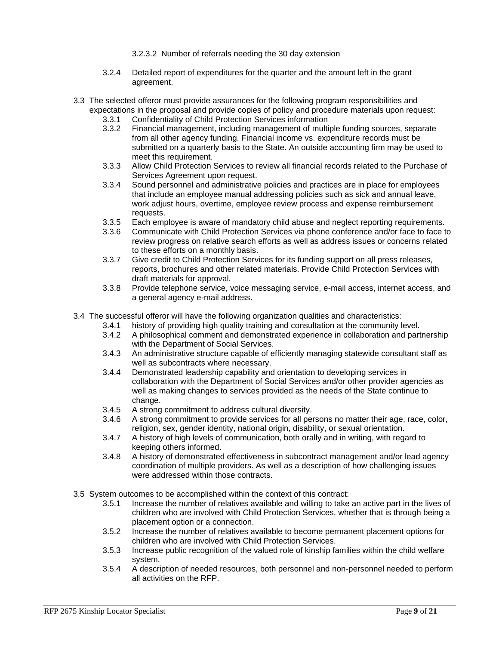3.2.3.2 Number of referrals needing the 30 day extension

- 3.2.4 Detailed report of expenditures for the quarter and the amount left in the grant agreement.
- 3.3 The selected offeror must provide assurances for the following program responsibilities and expectations in the proposal and provide copies of policy and procedure materials upon request:
	- 3.3.1 Confidentiality of Child Protection Services information
	- 3.3.2 Financial management, including management of multiple funding sources, separate from all other agency funding. Financial income vs. expenditure records must be submitted on a quarterly basis to the State. An outside accounting firm may be used to meet this requirement.
	- 3.3.3 Allow Child Protection Services to review all financial records related to the Purchase of Services Agreement upon request.
	- 3.3.4 Sound personnel and administrative policies and practices are in place for employees that include an employee manual addressing policies such as sick and annual leave, work adjust hours, overtime, employee review process and expense reimbursement requests.
	- 3.3.5 Each employee is aware of mandatory child abuse and neglect reporting requirements.
	- 3.3.6 Communicate with Child Protection Services via phone conference and/or face to face to review progress on relative search efforts as well as address issues or concerns related to these efforts on a monthly basis.
	- 3.3.7 Give credit to Child Protection Services for its funding support on all press releases, reports, brochures and other related materials. Provide Child Protection Services with draft materials for approval.
	- 3.3.8 Provide telephone service, voice messaging service, e-mail access, internet access, and a general agency e-mail address.
- 3.4 The successful offeror will have the following organization qualities and characteristics:
	- 3.4.1 history of providing high quality training and consultation at the community level.
	- 3.4.2 A philosophical comment and demonstrated experience in collaboration and partnership with the Department of Social Services.
	- 3.4.3 An administrative structure capable of efficiently managing statewide consultant staff as well as subcontracts where necessary.
	- 3.4.4 Demonstrated leadership capability and orientation to developing services in collaboration with the Department of Social Services and/or other provider agencies as well as making changes to services provided as the needs of the State continue to change.
	- 3.4.5 A strong commitment to address cultural diversity.
	- 3.4.6 A strong commitment to provide services for all persons no matter their age, race, color, religion, sex, gender identity, national origin, disability, or sexual orientation.
	- 3.4.7 A history of high levels of communication, both orally and in writing, with regard to keeping others informed.
	- 3.4.8 A history of demonstrated effectiveness in subcontract management and/or lead agency coordination of multiple providers. As well as a description of how challenging issues were addressed within those contracts.
- 3.5 System outcomes to be accomplished within the context of this contract:
	- 3.5.1 Increase the number of relatives available and willing to take an active part in the lives of children who are involved with Child Protection Services, whether that is through being a placement option or a connection.
	- 3.5.2 Increase the number of relatives available to become permanent placement options for children who are involved with Child Protection Services.
	- 3.5.3 Increase public recognition of the valued role of kinship families within the child welfare system.
	- 3.5.4 A description of needed resources, both personnel and non-personnel needed to perform all activities on the RFP.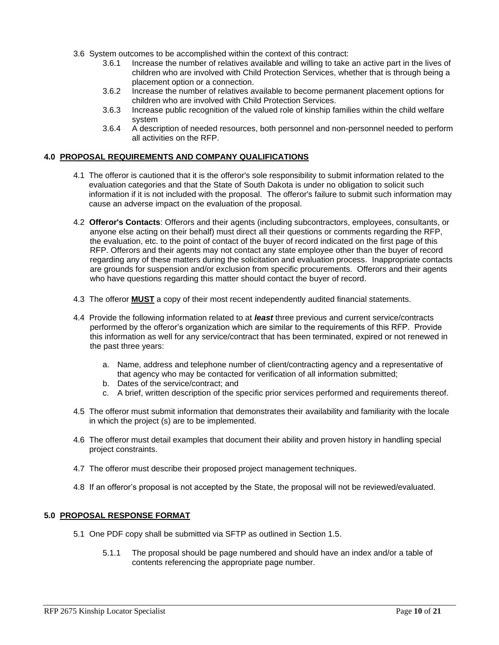- 3.6 System outcomes to be accomplished within the context of this contract:
	- 3.6.1 Increase the number of relatives available and willing to take an active part in the lives of children who are involved with Child Protection Services, whether that is through being a placement option or a connection.
	- 3.6.2 Increase the number of relatives available to become permanent placement options for children who are involved with Child Protection Services.
	- 3.6.3 Increase public recognition of the valued role of kinship families within the child welfare system
	- 3.6.4 A description of needed resources, both personnel and non-personnel needed to perform all activities on the RFP.

## **4.0 PROPOSAL REQUIREMENTS AND COMPANY QUALIFICATIONS**

- 4.1 The offeror is cautioned that it is the offeror's sole responsibility to submit information related to the evaluation categories and that the State of South Dakota is under no obligation to solicit such information if it is not included with the proposal. The offeror's failure to submit such information may cause an adverse impact on the evaluation of the proposal.
- 4.2 **Offeror's Contacts**: Offerors and their agents (including subcontractors, employees, consultants, or anyone else acting on their behalf) must direct all their questions or comments regarding the RFP, the evaluation, etc. to the point of contact of the buyer of record indicated on the first page of this RFP. Offerors and their agents may not contact any state employee other than the buyer of record regarding any of these matters during the solicitation and evaluation process. Inappropriate contacts are grounds for suspension and/or exclusion from specific procurements. Offerors and their agents who have questions regarding this matter should contact the buyer of record.
- 4.3 The offeror **MUST** a copy of their most recent independently audited financial statements.
- 4.4 Provide the following information related to at *least* three previous and current service/contracts performed by the offeror's organization which are similar to the requirements of this RFP. Provide this information as well for any service/contract that has been terminated, expired or not renewed in the past three years:
	- a. Name, address and telephone number of client/contracting agency and a representative of that agency who may be contacted for verification of all information submitted;
	- b. Dates of the service/contract; and
	- c. A brief, written description of the specific prior services performed and requirements thereof.
- 4.5 The offeror must submit information that demonstrates their availability and familiarity with the locale in which the project (s) are to be implemented.
- 4.6 The offeror must detail examples that document their ability and proven history in handling special project constraints.
- 4.7 The offeror must describe their proposed project management techniques.
- 4.8 If an offeror's proposal is not accepted by the State, the proposal will not be reviewed/evaluated.

## **5.0 PROPOSAL RESPONSE FORMAT**

- 5.1 One PDF copy shall be submitted via SFTP as outlined in Section 1.5.
	- 5.1.1 The proposal should be page numbered and should have an index and/or a table of contents referencing the appropriate page number.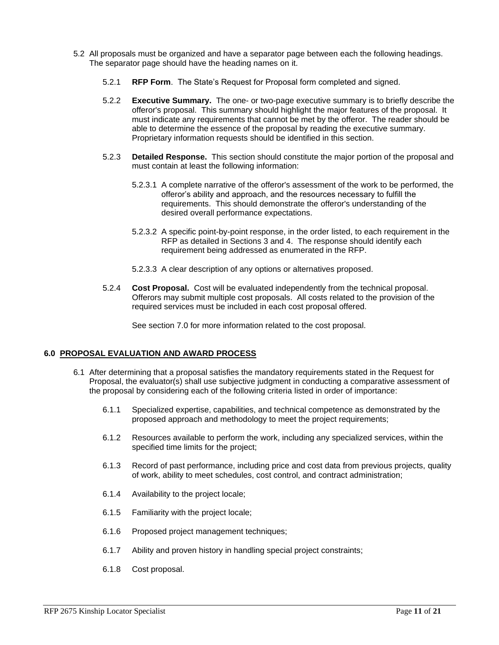- 5.2 All proposals must be organized and have a separator page between each the following headings. The separator page should have the heading names on it.
	- 5.2.1 **RFP Form**. The State's Request for Proposal form completed and signed.
	- 5.2.2 **Executive Summary.** The one- or two-page executive summary is to briefly describe the offeror's proposal. This summary should highlight the major features of the proposal. It must indicate any requirements that cannot be met by the offeror. The reader should be able to determine the essence of the proposal by reading the executive summary. Proprietary information requests should be identified in this section.
	- 5.2.3 **Detailed Response.** This section should constitute the major portion of the proposal and must contain at least the following information:
		- 5.2.3.1 A complete narrative of the offeror's assessment of the work to be performed, the offeror's ability and approach, and the resources necessary to fulfill the requirements. This should demonstrate the offeror's understanding of the desired overall performance expectations.
		- 5.2.3.2 A specific point-by-point response, in the order listed, to each requirement in the RFP as detailed in Sections 3 and 4. The response should identify each requirement being addressed as enumerated in the RFP.
		- 5.2.3.3 A clear description of any options or alternatives proposed.
	- 5.2.4 **Cost Proposal.** Cost will be evaluated independently from the technical proposal. Offerors may submit multiple cost proposals. All costs related to the provision of the required services must be included in each cost proposal offered.

See section 7.0 for more information related to the cost proposal.

## **6.0 PROPOSAL EVALUATION AND AWARD PROCESS**

- 6.1 After determining that a proposal satisfies the mandatory requirements stated in the Request for Proposal, the evaluator(s) shall use subjective judgment in conducting a comparative assessment of the proposal by considering each of the following criteria listed in order of importance:
	- 6.1.1 Specialized expertise, capabilities, and technical competence as demonstrated by the proposed approach and methodology to meet the project requirements;
	- 6.1.2 Resources available to perform the work, including any specialized services, within the specified time limits for the project;
	- 6.1.3 Record of past performance, including price and cost data from previous projects, quality of work, ability to meet schedules, cost control, and contract administration;
	- 6.1.4 Availability to the project locale;
	- 6.1.5 Familiarity with the project locale;
	- 6.1.6 Proposed project management techniques;
	- 6.1.7 Ability and proven history in handling special project constraints;
	- 6.1.8 Cost proposal.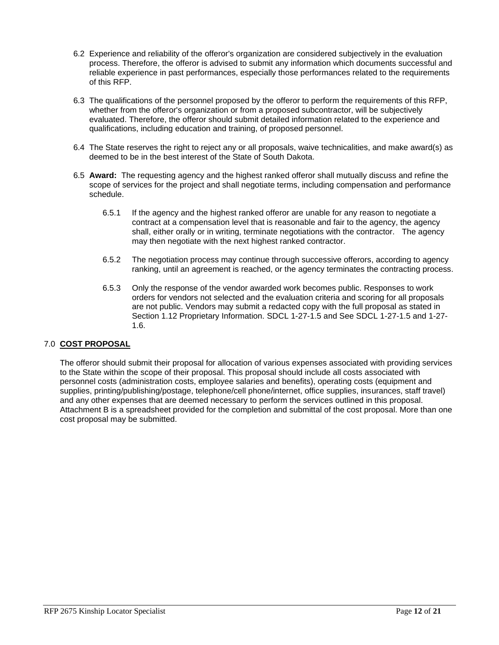- 6.2 Experience and reliability of the offeror's organization are considered subjectively in the evaluation process. Therefore, the offeror is advised to submit any information which documents successful and reliable experience in past performances, especially those performances related to the requirements of this RFP.
- 6.3 The qualifications of the personnel proposed by the offeror to perform the requirements of this RFP, whether from the offeror's organization or from a proposed subcontractor, will be subjectively evaluated. Therefore, the offeror should submit detailed information related to the experience and qualifications, including education and training, of proposed personnel.
- 6.4 The State reserves the right to reject any or all proposals, waive technicalities, and make award(s) as deemed to be in the best interest of the State of South Dakota.
- 6.5 **Award:** The requesting agency and the highest ranked offeror shall mutually discuss and refine the scope of services for the project and shall negotiate terms, including compensation and performance schedule.
	- 6.5.1 If the agency and the highest ranked offeror are unable for any reason to negotiate a contract at a compensation level that is reasonable and fair to the agency, the agency shall, either orally or in writing, terminate negotiations with the contractor. The agency may then negotiate with the next highest ranked contractor.
	- 6.5.2 The negotiation process may continue through successive offerors, according to agency ranking, until an agreement is reached, or the agency terminates the contracting process.
	- 6.5.3 Only the response of the vendor awarded work becomes public. Responses to work orders for vendors not selected and the evaluation criteria and scoring for all proposals are not public. Vendors may submit a redacted copy with the full proposal as stated in Section 1.12 Proprietary Information. SDCL 1-27-1.5 and See SDCL 1-27-1.5 and 1-27- 1.6.

## 7.0 **COST PROPOSAL**

The offeror should submit their proposal for allocation of various expenses associated with providing services to the State within the scope of their proposal. This proposal should include all costs associated with personnel costs (administration costs, employee salaries and benefits), operating costs (equipment and supplies, printing/publishing/postage, telephone/cell phone/internet, office supplies, insurances, staff travel) and any other expenses that are deemed necessary to perform the services outlined in this proposal. Attachment B is a spreadsheet provided for the completion and submittal of the cost proposal. More than one cost proposal may be submitted.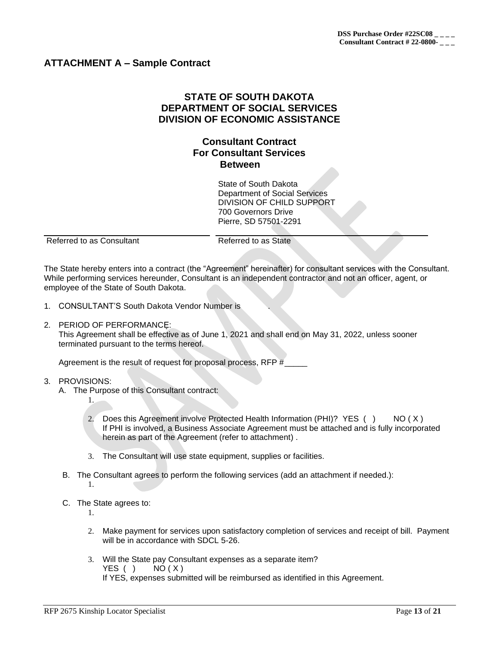## **ATTACHMENT A – Sample Contract**

## **STATE OF SOUTH DAKOTA DEPARTMENT OF SOCIAL SERVICES DIVISION OF ECONOMIC ASSISTANCE**

## **Consultant Contract For Consultant Services Between**

State of South Dakota Department of Social Services DIVISION OF CHILD SUPPORT 700 Governors Drive Pierre, SD 57501-2291

Referred to as Consultant Referred to as State

The State hereby enters into a contract (the "Agreement" hereinafter) for consultant services with the Consultant. While performing services hereunder, Consultant is an independent contractor and not an officer, agent, or employee of the State of South Dakota.

- 1. CONSULTANT'S South Dakota Vendor Number is .
- 2. PERIOD OF PERFORMANCE:

This Agreement shall be effective as of June 1, 2021 and shall end on May 31, 2022, unless sooner terminated pursuant to the terms hereof.

Agreement is the result of request for proposal process, RFP #\_\_\_\_\_

3. PROVISIONS:

1.

- A. The Purpose of this Consultant contract:
	- 2. Does this Agreement involve Protected Health Information (PHI)? YES () NO (X) If PHI is involved, a Business Associate Agreement must be attached and is fully incorporated herein as part of the Agreement (refer to attachment) .
	- 3. The Consultant will use state equipment, supplies or facilities.
- B. The Consultant agrees to perform the following services (add an attachment if needed.): 1.
- C. The State agrees to:

1.

- 2. Make payment for services upon satisfactory completion of services and receipt of bill. Payment will be in accordance with SDCL 5-26.
- 3. Will the State pay Consultant expenses as a separate item? YES ( )  $NO(X)$ If YES, expenses submitted will be reimbursed as identified in this Agreement.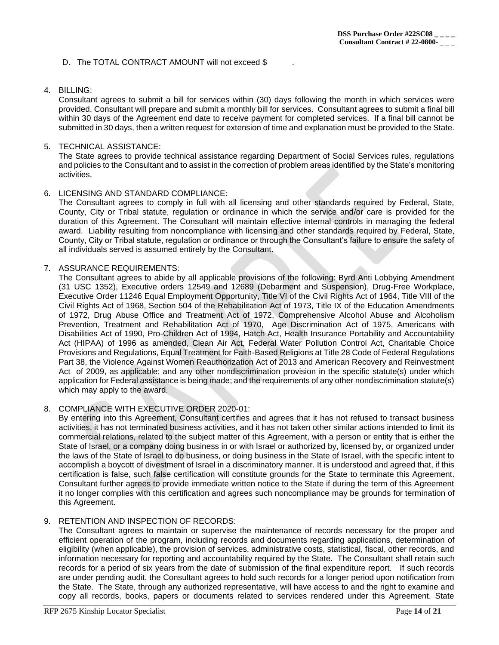## D. The TOTAL CONTRACT AMOUNT will not exceed \$

#### 4. BILLING:

Consultant agrees to submit a bill for services within (30) days following the month in which services were provided. Consultant will prepare and submit a monthly bill for services. Consultant agrees to submit a final bill within 30 days of the Agreement end date to receive payment for completed services. If a final bill cannot be submitted in 30 days, then a written request for extension of time and explanation must be provided to the State.

#### 5. TECHNICAL ASSISTANCE:

The State agrees to provide technical assistance regarding Department of Social Services rules, regulations and policies to the Consultant and to assist in the correction of problem areas identified by the State's monitoring activities.

#### 6. LICENSING AND STANDARD COMPLIANCE:

The Consultant agrees to comply in full with all licensing and other standards required by Federal, State, County, City or Tribal statute, regulation or ordinance in which the service and/or care is provided for the duration of this Agreement. The Consultant will maintain effective internal controls in managing the federal award. Liability resulting from noncompliance with licensing and other standards required by Federal, State, County, City or Tribal statute, regulation or ordinance or through the Consultant's failure to ensure the safety of all individuals served is assumed entirely by the Consultant.

#### 7. ASSURANCE REQUIREMENTS:

The Consultant agrees to abide by all applicable provisions of the following: Byrd Anti Lobbying Amendment (31 USC 1352), Executive orders 12549 and 12689 (Debarment and Suspension), Drug-Free Workplace, Executive Order 11246 Equal Employment Opportunity, Title VI of the Civil Rights Act of 1964, Title VIII of the Civil Rights Act of 1968, Section 504 of the Rehabilitation Act of 1973, Title IX of the Education Amendments of 1972, Drug Abuse Office and Treatment Act of 1972, Comprehensive Alcohol Abuse and Alcoholism Prevention, Treatment and Rehabilitation Act of 1970, Age Discrimination Act of 1975, Americans with Disabilities Act of 1990, Pro-Children Act of 1994, Hatch Act, Health Insurance Portability and Accountability Act (HIPAA) of 1996 as amended, Clean Air Act, Federal Water Pollution Control Act, Charitable Choice Provisions and Regulations, Equal Treatment for Faith-Based Religions at Title 28 Code of Federal Regulations Part 38, the Violence Against Women Reauthorization Act of 2013 and American Recovery and Reinvestment Act of 2009, as applicable; and any other nondiscrimination provision in the specific statute(s) under which application for Federal assistance is being made; and the requirements of any other nondiscrimination statute(s) which may apply to the award.

## 8. COMPLIANCE WITH EXECUTIVE ORDER 2020-01:

By entering into this Agreement, Consultant certifies and agrees that it has not refused to transact business activities, it has not terminated business activities, and it has not taken other similar actions intended to limit its commercial relations, related to the subject matter of this Agreement, with a person or entity that is either the State of Israel, or a company doing business in or with Israel or authorized by, licensed by, or organized under the laws of the State of Israel to do business, or doing business in the State of Israel, with the specific intent to accomplish a boycott of divestment of Israel in a discriminatory manner. It is understood and agreed that, if this certification is false, such false certification will constitute grounds for the State to terminate this Agreement. Consultant further agrees to provide immediate written notice to the State if during the term of this Agreement it no longer complies with this certification and agrees such noncompliance may be grounds for termination of this Agreement.

#### 9. RETENTION AND INSPECTION OF RECORDS:

The Consultant agrees to maintain or supervise the maintenance of records necessary for the proper and efficient operation of the program, including records and documents regarding applications, determination of eligibility (when applicable), the provision of services, administrative costs, statistical, fiscal, other records, and information necessary for reporting and accountability required by the State. The Consultant shall retain such records for a period of six years from the date of submission of the final expenditure report. If such records are under pending audit, the Consultant agrees to hold such records for a longer period upon notification from the State. The State, through any authorized representative, will have access to and the right to examine and copy all records, books, papers or documents related to services rendered under this Agreement. State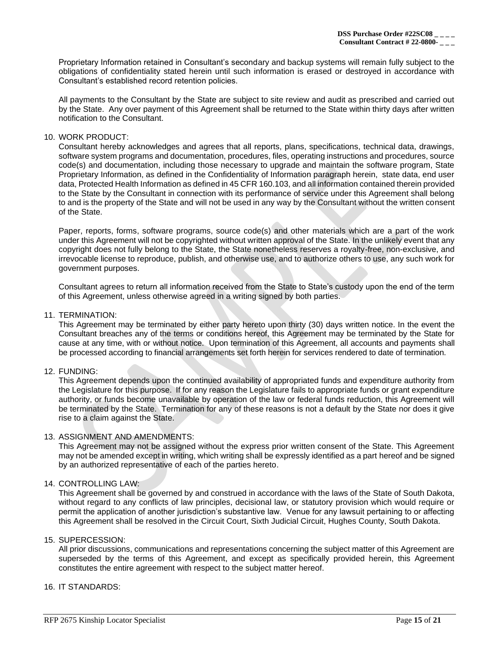Proprietary Information retained in Consultant's secondary and backup systems will remain fully subject to the obligations of confidentiality stated herein until such information is erased or destroyed in accordance with Consultant's established record retention policies.

All payments to the Consultant by the State are subject to site review and audit as prescribed and carried out by the State. Any over payment of this Agreement shall be returned to the State within thirty days after written notification to the Consultant.

#### 10. WORK PRODUCT:

Consultant hereby acknowledges and agrees that all reports, plans, specifications, technical data, drawings, software system programs and documentation, procedures, files, operating instructions and procedures, source code(s) and documentation, including those necessary to upgrade and maintain the software program, State Proprietary Information, as defined in the Confidentiality of Information paragraph herein, state data, end user data, Protected Health Information as defined in 45 CFR 160.103, and all information contained therein provided to the State by the Consultant in connection with its performance of service under this Agreement shall belong to and is the property of the State and will not be used in any way by the Consultant without the written consent of the State.

Paper, reports, forms, software programs, source code(s) and other materials which are a part of the work under this Agreement will not be copyrighted without written approval of the State. In the unlikely event that any copyright does not fully belong to the State, the State nonetheless reserves a royalty-free, non-exclusive, and irrevocable license to reproduce, publish, and otherwise use, and to authorize others to use, any such work for government purposes.

Consultant agrees to return all information received from the State to State's custody upon the end of the term of this Agreement, unless otherwise agreed in a writing signed by both parties.

## 11. TERMINATION:

This Agreement may be terminated by either party hereto upon thirty (30) days written notice. In the event the Consultant breaches any of the terms or conditions hereof, this Agreement may be terminated by the State for cause at any time, with or without notice. Upon termination of this Agreement, all accounts and payments shall be processed according to financial arrangements set forth herein for services rendered to date of termination.

#### 12. FUNDING:

This Agreement depends upon the continued availability of appropriated funds and expenditure authority from the Legislature for this purpose. If for any reason the Legislature fails to appropriate funds or grant expenditure authority, or funds become unavailable by operation of the law or federal funds reduction, this Agreement will be terminated by the State. Termination for any of these reasons is not a default by the State nor does it give rise to a claim against the State.

#### 13. ASSIGNMENT AND AMENDMENTS:

This Agreement may not be assigned without the express prior written consent of the State. This Agreement may not be amended except in writing, which writing shall be expressly identified as a part hereof and be signed by an authorized representative of each of the parties hereto.

#### 14. CONTROLLING LAW:

This Agreement shall be governed by and construed in accordance with the laws of the State of South Dakota, without regard to any conflicts of law principles, decisional law, or statutory provision which would require or permit the application of another jurisdiction's substantive law. Venue for any lawsuit pertaining to or affecting this Agreement shall be resolved in the Circuit Court, Sixth Judicial Circuit, Hughes County, South Dakota.

#### 15. SUPERCESSION:

All prior discussions, communications and representations concerning the subject matter of this Agreement are superseded by the terms of this Agreement, and except as specifically provided herein, this Agreement constitutes the entire agreement with respect to the subject matter hereof.

#### 16. IT STANDARDS: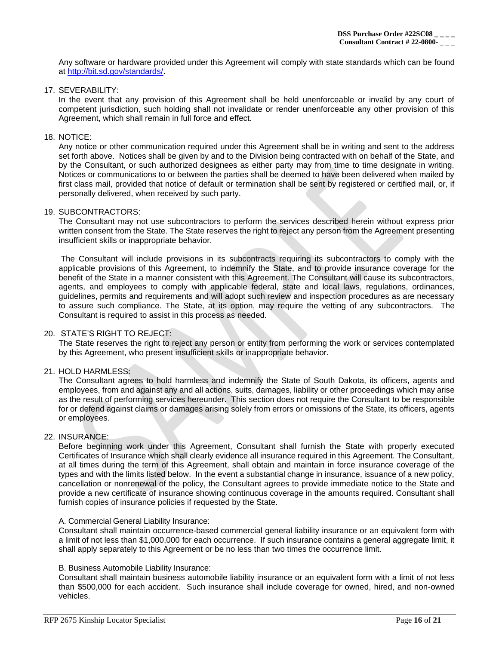Any software or hardware provided under this Agreement will comply with state standards which can be found at [http://bit.sd.gov/standards/.](http://bit.sd.gov/standards/)

17. SEVERABILITY:

In the event that any provision of this Agreement shall be held unenforceable or invalid by any court of competent jurisdiction, such holding shall not invalidate or render unenforceable any other provision of this Agreement, which shall remain in full force and effect.

#### 18. NOTICE:

Any notice or other communication required under this Agreement shall be in writing and sent to the address set forth above. Notices shall be given by and to the Division being contracted with on behalf of the State, and by the Consultant, or such authorized designees as either party may from time to time designate in writing. Notices or communications to or between the parties shall be deemed to have been delivered when mailed by first class mail, provided that notice of default or termination shall be sent by registered or certified mail, or, if personally delivered, when received by such party.

#### 19. SUBCONTRACTORS:

The Consultant may not use subcontractors to perform the services described herein without express prior written consent from the State. The State reserves the right to reject any person from the Agreement presenting insufficient skills or inappropriate behavior.

The Consultant will include provisions in its subcontracts requiring its subcontractors to comply with the applicable provisions of this Agreement, to indemnify the State, and to provide insurance coverage for the benefit of the State in a manner consistent with this Agreement. The Consultant will cause its subcontractors, agents, and employees to comply with applicable federal, state and local laws, regulations, ordinances, guidelines, permits and requirements and will adopt such review and inspection procedures as are necessary to assure such compliance. The State, at its option, may require the vetting of any subcontractors. The Consultant is required to assist in this process as needed.

#### 20. STATE'S RIGHT TO REJECT:

The State reserves the right to reject any person or entity from performing the work or services contemplated by this Agreement, who present insufficient skills or inappropriate behavior.

#### 21. HOLD HARMLESS:

The Consultant agrees to hold harmless and indemnify the State of South Dakota, its officers, agents and employees, from and against any and all actions, suits, damages, liability or other proceedings which may arise as the result of performing services hereunder. This section does not require the Consultant to be responsible for or defend against claims or damages arising solely from errors or omissions of the State, its officers, agents or employees.

#### 22. INSURANCE:

Before beginning work under this Agreement, Consultant shall furnish the State with properly executed Certificates of Insurance which shall clearly evidence all insurance required in this Agreement. The Consultant, at all times during the term of this Agreement, shall obtain and maintain in force insurance coverage of the types and with the limits listed below. In the event a substantial change in insurance, issuance of a new policy, cancellation or nonrenewal of the policy, the Consultant agrees to provide immediate notice to the State and provide a new certificate of insurance showing continuous coverage in the amounts required. Consultant shall furnish copies of insurance policies if requested by the State.

#### A. Commercial General Liability Insurance:

Consultant shall maintain occurrence-based commercial general liability insurance or an equivalent form with a limit of not less than \$1,000,000 for each occurrence. If such insurance contains a general aggregate limit, it shall apply separately to this Agreement or be no less than two times the occurrence limit.

#### B. Business Automobile Liability Insurance:

Consultant shall maintain business automobile liability insurance or an equivalent form with a limit of not less than \$500,000 for each accident. Such insurance shall include coverage for owned, hired, and non-owned vehicles.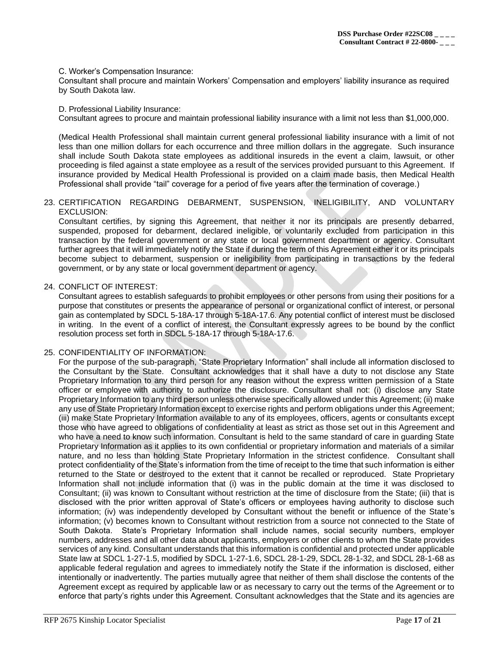#### C. Worker's Compensation Insurance:

Consultant shall procure and maintain Workers' Compensation and employers' liability insurance as required by South Dakota law.

#### D. Professional Liability Insurance:

Consultant agrees to procure and maintain professional liability insurance with a limit not less than \$1,000,000.

(Medical Health Professional shall maintain current general professional liability insurance with a limit of not less than one million dollars for each occurrence and three million dollars in the aggregate. Such insurance shall include South Dakota state employees as additional insureds in the event a claim, lawsuit, or other proceeding is filed against a state employee as a result of the services provided pursuant to this Agreement. If insurance provided by Medical Health Professional is provided on a claim made basis, then Medical Health Professional shall provide "tail" coverage for a period of five years after the termination of coverage.)

#### 23. CERTIFICATION REGARDING DEBARMENT, SUSPENSION, INELIGIBILITY, AND VOLUNTARY EXCLUSION:

Consultant certifies, by signing this Agreement, that neither it nor its principals are presently debarred, suspended, proposed for debarment, declared ineligible, or voluntarily excluded from participation in this transaction by the federal government or any state or local government department or agency. Consultant further agrees that it will immediately notify the State if during the term of this Agreement either it or its principals become subject to debarment, suspension or ineligibility from participating in transactions by the federal government, or by any state or local government department or agency.

#### 24. CONFLICT OF INTEREST:

Consultant agrees to establish safeguards to prohibit employees or other persons from using their positions for a purpose that constitutes or presents the appearance of personal or organizational conflict of interest, or personal gain as contemplated by SDCL 5-18A-17 through 5-18A-17.6. Any potential conflict of interest must be disclosed in writing. In the event of a conflict of interest, the Consultant expressly agrees to be bound by the conflict resolution process set forth in SDCL 5-18A-17 through 5-18A-17.6.

#### 25. CONFIDENTIALITY OF INFORMATION:

For the purpose of the sub-paragraph, "State Proprietary Information" shall include all information disclosed to the Consultant by the State. Consultant acknowledges that it shall have a duty to not disclose any State Proprietary Information to any third person for any reason without the express written permission of a State officer or employee with authority to authorize the disclosure. Consultant shall not: (i) disclose any State Proprietary Information to any third person unless otherwise specifically allowed under this Agreement; (ii) make any use of State Proprietary Information except to exercise rights and perform obligations under this Agreement; (iii) make State Proprietary Information available to any of its employees, officers, agents or consultants except those who have agreed to obligations of confidentiality at least as strict as those set out in this Agreement and who have a need to know such information. Consultant is held to the same standard of care in guarding State Proprietary Information as it applies to its own confidential or proprietary information and materials of a similar nature, and no less than holding State Proprietary Information in the strictest confidence. Consultant shall protect confidentiality of the State's information from the time of receipt to the time that such information is either returned to the State or destroyed to the extent that it cannot be recalled or reproduced. State Proprietary Information shall not include information that (i) was in the public domain at the time it was disclosed to Consultant; (ii) was known to Consultant without restriction at the time of disclosure from the State; (iii) that is disclosed with the prior written approval of State's officers or employees having authority to disclose such information; (iv) was independently developed by Consultant without the benefit or influence of the State's information; (v) becomes known to Consultant without restriction from a source not connected to the State of South Dakota. State's Proprietary Information shall include names, social security numbers, employer numbers, addresses and all other data about applicants, employers or other clients to whom the State provides services of any kind. Consultant understands that this information is confidential and protected under applicable State law at SDCL 1-27-1.5, modified by SDCL 1-27-1.6, SDCL 28-1-29, SDCL 28-1-32, and SDCL 28-1-68 as applicable federal regulation and agrees to immediately notify the State if the information is disclosed, either intentionally or inadvertently. The parties mutually agree that neither of them shall disclose the contents of the Agreement except as required by applicable law or as necessary to carry out the terms of the Agreement or to enforce that party's rights under this Agreement. Consultant acknowledges that the State and its agencies are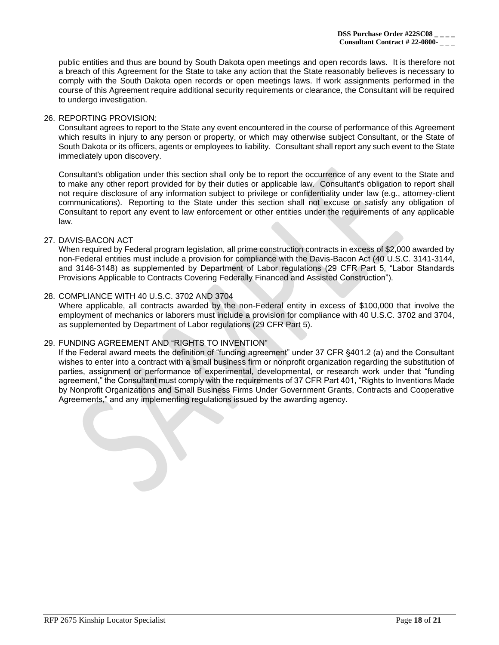public entities and thus are bound by South Dakota open meetings and open records laws. It is therefore not a breach of this Agreement for the State to take any action that the State reasonably believes is necessary to comply with the South Dakota open records or open meetings laws. If work assignments performed in the course of this Agreement require additional security requirements or clearance, the Consultant will be required to undergo investigation.

#### 26. REPORTING PROVISION:

Consultant agrees to report to the State any event encountered in the course of performance of this Agreement which results in injury to any person or property, or which may otherwise subject Consultant, or the State of South Dakota or its officers, agents or employees to liability. Consultant shall report any such event to the State immediately upon discovery.

Consultant's obligation under this section shall only be to report the occurrence of any event to the State and to make any other report provided for by their duties or applicable law. Consultant's obligation to report shall not require disclosure of any information subject to privilege or confidentiality under law (e.g., attorney-client communications). Reporting to the State under this section shall not excuse or satisfy any obligation of Consultant to report any event to law enforcement or other entities under the requirements of any applicable law.

#### 27. DAVIS-BACON ACT

When required by Federal program legislation, all prime construction contracts in excess of \$2,000 awarded by non-Federal entities must include a provision for compliance with the Davis-Bacon Act (40 U.S.C. 3141-3144, and 3146-3148) as supplemented by Department of Labor regulations (29 CFR Part 5, "Labor Standards Provisions Applicable to Contracts Covering Federally Financed and Assisted Construction").

## 28. COMPLIANCE WITH 40 U.S.C. 3702 AND 3704

Where applicable, all contracts awarded by the non-Federal entity in excess of \$100,000 that involve the employment of mechanics or laborers must include a provision for compliance with 40 U.S.C. 3702 and 3704, as supplemented by Department of Labor regulations (29 CFR Part 5).

#### 29. FUNDING AGREEMENT AND "RIGHTS TO INVENTION"

If the Federal award meets the definition of "funding agreement" under 37 CFR §401.2 (a) and the Consultant wishes to enter into a contract with a small business firm or nonprofit organization regarding the substitution of parties, assignment or performance of experimental, developmental, or research work under that "funding agreement," the Consultant must comply with the requirements of 37 CFR Part 401, "Rights to Inventions Made by Nonprofit Organizations and Small Business Firms Under Government Grants, Contracts and Cooperative Agreements," and any implementing regulations issued by the awarding agency.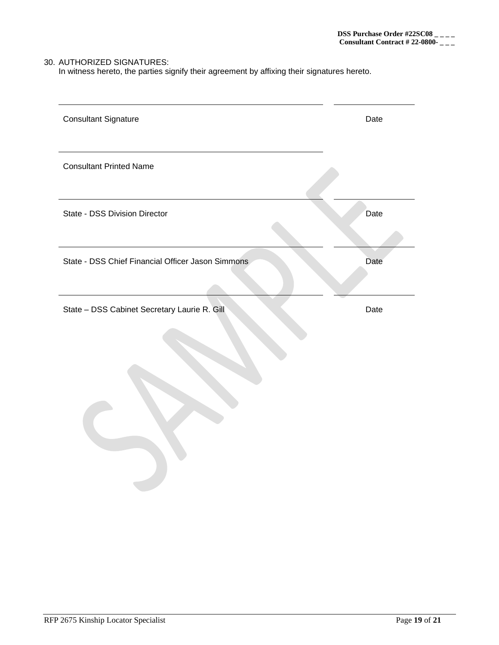## 30. AUTHORIZED SIGNATURES:

In witness hereto, the parties signify their agreement by affixing their signatures hereto.

| <b>Consultant Signature</b>                       | Date |
|---------------------------------------------------|------|
| <b>Consultant Printed Name</b>                    |      |
| State - DSS Division Director                     | Date |
| State - DSS Chief Financial Officer Jason Simmons | Date |
| State - DSS Cabinet Secretary Laurie R. Gill      | Date |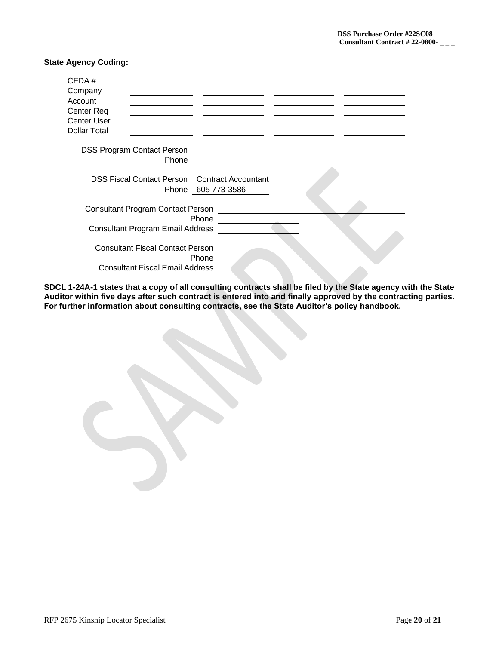## **State Agency Coding:**

| CFDA#                                                |                    |
|------------------------------------------------------|--------------------|
| Company                                              |                    |
| Account                                              |                    |
| Center Req                                           |                    |
| <b>Center User</b>                                   |                    |
| <b>Dollar Total</b>                                  |                    |
| <b>DSS Program Contact Person</b>                    |                    |
| Phone                                                |                    |
| <b>DSS Fiscal Contact Person Contract Accountant</b> |                    |
|                                                      | Phone 605 773-3586 |
| <b>Consultant Program Contact Person</b>             | Phone              |
| <b>Consultant Program Email Address</b>              |                    |
| <b>Consultant Fiscal Contact Person</b>              | Phone              |
| <b>Consultant Fiscal Email Address</b>               |                    |

**SDCL 1-24A-1 states that a copy of all consulting contracts shall be filed by the State agency with the State Auditor within five days after such contract is entered into and finally approved by the contracting parties. For further information about consulting contracts, see the State Auditor's policy handbook.**